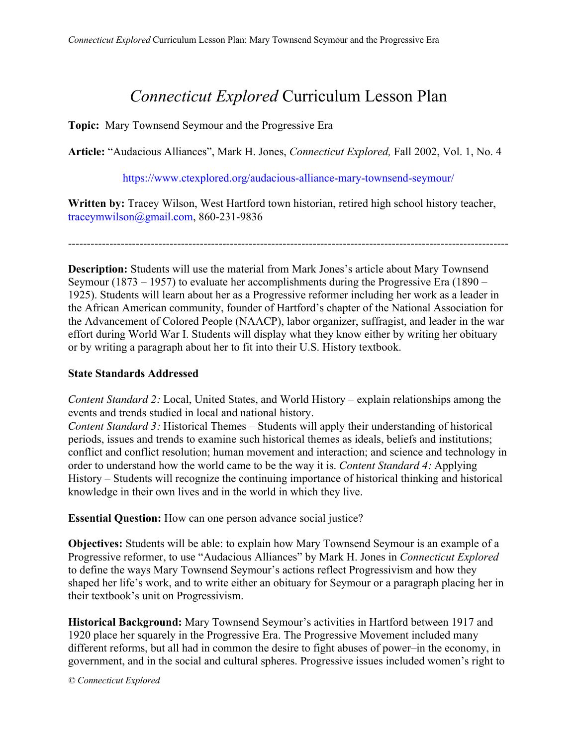# *Connecticut Explored* Curriculum Lesson Plan

**Topic:** Mary Townsend Seymour and the Progressive Era

**Article:** "Audacious Alliances", Mark H. Jones, *Connecticut Explored,* Fall 2002, Vol. 1, No. 4

https://www.ctexplored.org/audacious-alliance-mary-townsend-seymour/

**Written by:** Tracey Wilson, West Hartford town historian, retired high school history teacher, traceymwilson@gmail.com, 860-231-9836

---------------------------------------------------------------------------------------------------------------------

**Description:** Students will use the material from Mark Jones's article about Mary Townsend Seymour (1873 – 1957) to evaluate her accomplishments during the Progressive Era (1890 – 1925). Students will learn about her as a Progressive reformer including her work as a leader in the African American community, founder of Hartford's chapter of the National Association for the Advancement of Colored People (NAACP), labor organizer, suffragist, and leader in the war effort during World War I. Students will display what they know either by writing her obituary or by writing a paragraph about her to fit into their U.S. History textbook.

### **State Standards Addressed**

*Content Standard 2:* Local, United States, and World History – explain relationships among the events and trends studied in local and national history.

*Content Standard 3:* Historical Themes – Students will apply their understanding of historical periods, issues and trends to examine such historical themes as ideals, beliefs and institutions; conflict and conflict resolution; human movement and interaction; and science and technology in order to understand how the world came to be the way it is. *Content Standard 4:* Applying History – Students will recognize the continuing importance of historical thinking and historical knowledge in their own lives and in the world in which they live.

**Essential Question:** How can one person advance social justice?

**Objectives:** Students will be able: to explain how Mary Townsend Seymour is an example of a Progressive reformer, to use "Audacious Alliances" by Mark H. Jones in *Connecticut Explored* to define the ways Mary Townsend Seymour's actions reflect Progressivism and how they shaped her life's work, and to write either an obituary for Seymour or a paragraph placing her in their textbook's unit on Progressivism.

**Historical Background:** Mary Townsend Seymour's activities in Hartford between 1917 and 1920 place her squarely in the Progressive Era. The Progressive Movement included many different reforms, but all had in common the desire to fight abuses of power–in the economy, in government, and in the social and cultural spheres. Progressive issues included women's right to

*© Connecticut Explored*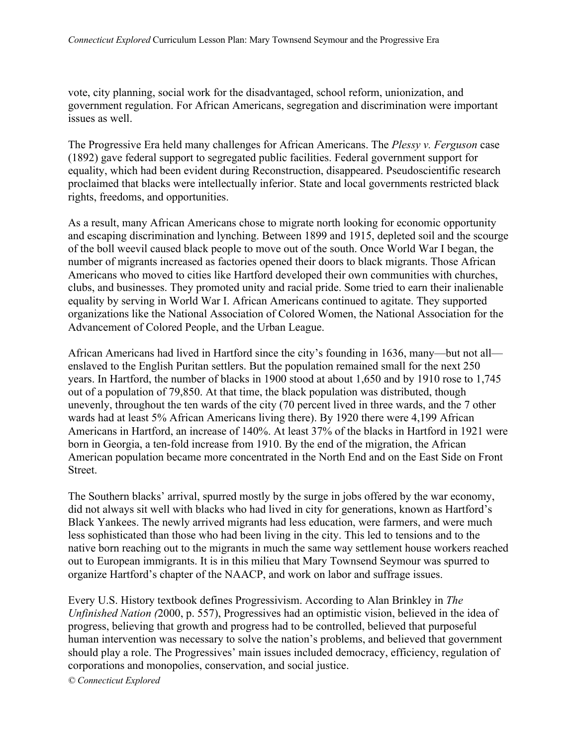vote, city planning, social work for the disadvantaged, school reform, unionization, and government regulation. For African Americans, segregation and discrimination were important issues as well.

The Progressive Era held many challenges for African Americans. The *Plessy v. Ferguson* case (1892) gave federal support to segregated public facilities. Federal government support for equality, which had been evident during Reconstruction, disappeared. Pseudoscientific research proclaimed that blacks were intellectually inferior. State and local governments restricted black rights, freedoms, and opportunities.

As a result, many African Americans chose to migrate north looking for economic opportunity and escaping discrimination and lynching. Between 1899 and 1915, depleted soil and the scourge of the boll weevil caused black people to move out of the south. Once World War I began, the number of migrants increased as factories opened their doors to black migrants. Those African Americans who moved to cities like Hartford developed their own communities with churches, clubs, and businesses. They promoted unity and racial pride. Some tried to earn their inalienable equality by serving in World War I. African Americans continued to agitate. They supported organizations like the National Association of Colored Women, the National Association for the Advancement of Colored People, and the Urban League.

African Americans had lived in Hartford since the city's founding in 1636, many—but not all enslaved to the English Puritan settlers. But the population remained small for the next 250 years. In Hartford, the number of blacks in 1900 stood at about 1,650 and by 1910 rose to 1,745 out of a population of 79,850. At that time, the black population was distributed, though unevenly, throughout the ten wards of the city (70 percent lived in three wards, and the 7 other wards had at least 5% African Americans living there). By 1920 there were 4,199 African Americans in Hartford, an increase of 140%. At least 37% of the blacks in Hartford in 1921 were born in Georgia, a ten-fold increase from 1910. By the end of the migration, the African American population became more concentrated in the North End and on the East Side on Front Street.

The Southern blacks' arrival, spurred mostly by the surge in jobs offered by the war economy, did not always sit well with blacks who had lived in city for generations, known as Hartford's Black Yankees. The newly arrived migrants had less education, were farmers, and were much less sophisticated than those who had been living in the city. This led to tensions and to the native born reaching out to the migrants in much the same way settlement house workers reached out to European immigrants. It is in this milieu that Mary Townsend Seymour was spurred to organize Hartford's chapter of the NAACP, and work on labor and suffrage issues.

Every U.S. History textbook defines Progressivism. According to Alan Brinkley in *The Unfinished Nation (*2000, p. 557), Progressives had an optimistic vision, believed in the idea of progress, believing that growth and progress had to be controlled, believed that purposeful human intervention was necessary to solve the nation's problems, and believed that government should play a role. The Progressives' main issues included democracy, efficiency, regulation of corporations and monopolies, conservation, and social justice.

*© Connecticut Explored*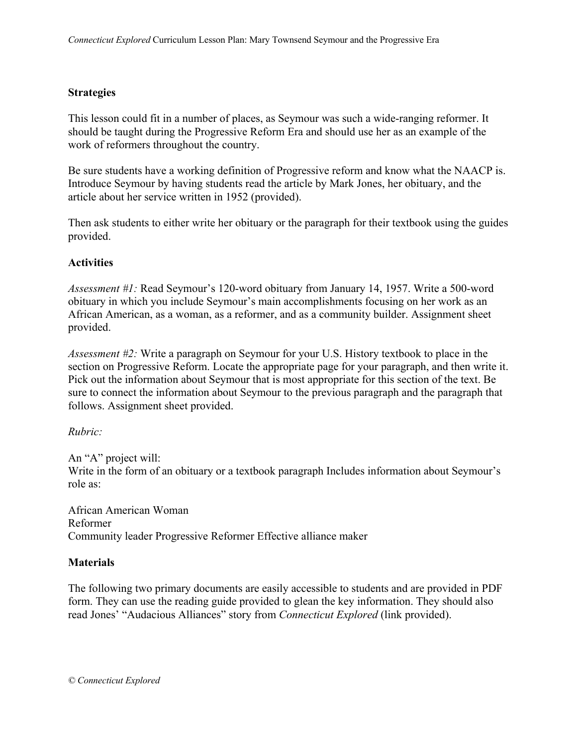### **Strategies**

This lesson could fit in a number of places, as Seymour was such a wide-ranging reformer. It should be taught during the Progressive Reform Era and should use her as an example of the work of reformers throughout the country.

Be sure students have a working definition of Progressive reform and know what the NAACP is. Introduce Seymour by having students read the article by Mark Jones, her obituary, and the article about her service written in 1952 (provided).

Then ask students to either write her obituary or the paragraph for their textbook using the guides provided.

## **Activities**

*Assessment #1:* Read Seymour's 120-word obituary from January 14, 1957. Write a 500-word obituary in which you include Seymour's main accomplishments focusing on her work as an African American, as a woman, as a reformer, and as a community builder. Assignment sheet provided.

*Assessment #2:* Write a paragraph on Seymour for your U.S. History textbook to place in the section on Progressive Reform. Locate the appropriate page for your paragraph, and then write it. Pick out the information about Seymour that is most appropriate for this section of the text. Be sure to connect the information about Seymour to the previous paragraph and the paragraph that follows. Assignment sheet provided.

### *Rubric:*

An "A" project will: Write in the form of an obituary or a textbook paragraph Includes information about Seymour's role as:

African American Woman Reformer Community leader Progressive Reformer Effective alliance maker

### **Materials**

The following two primary documents are easily accessible to students and are provided in PDF form. They can use the reading guide provided to glean the key information. They should also read Jones' "Audacious Alliances" story from *Connecticut Explored* (link provided).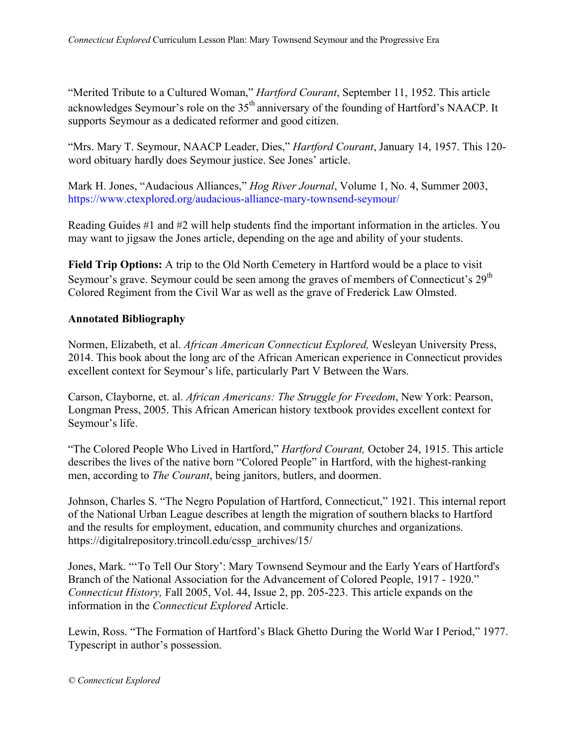"Merited Tribute to a Cultured Woman," *Hartford Courant*, September 11, 1952. This article acknowledges Seymour's role on the  $35<sup>th</sup>$  anniversary of the founding of Hartford's NAACP. It supports Seymour as a dedicated reformer and good citizen.

"Mrs. Mary T. Seymour, NAACP Leader, Dies," *Hartford Courant*, January 14, 1957. This 120 word obituary hardly does Seymour justice. See Jones' article.

Mark H. Jones, "Audacious Alliances," *Hog River Journal*, Volume 1, No. 4, Summer 2003, https://www.ctexplored.org/audacious-alliance-mary-townsend-seymour/

Reading Guides #1 and #2 will help students find the important information in the articles. You may want to jigsaw the Jones article, depending on the age and ability of your students.

**Field Trip Options:** A trip to the Old North Cemetery in Hartford would be a place to visit Seymour's grave. Seymour could be seen among the graves of members of Connecticut's  $29<sup>th</sup>$ Colored Regiment from the Civil War as well as the grave of Frederick Law Olmsted.

# **Annotated Bibliography**

Normen, Elizabeth, et al. *African American Connecticut Explored,* Wesleyan University Press, 2014. This book about the long arc of the African American experience in Connecticut provides excellent context for Seymour's life, particularly Part V Between the Wars.

Carson, Clayborne, et. al. *African Americans: The Struggle for Freedom*, New York: Pearson, Longman Press, 2005. This African American history textbook provides excellent context for Seymour's life.

"The Colored People Who Lived in Hartford," *Hartford Courant,* October 24, 1915. This article describes the lives of the native born "Colored People" in Hartford, with the highest-ranking men, according to *The Courant*, being janitors, butlers, and doormen.

Johnson, Charles S. "The Negro Population of Hartford, Connecticut," 1921. This internal report of the National Urban League describes at length the migration of southern blacks to Hartford and the results for employment, education, and community churches and organizations. https://digitalrepository.trincoll.edu/cssp\_archives/15/

Jones, Mark. "'To Tell Our Story': Mary Townsend Seymour and the Early Years of Hartford's Branch of the National Association for the Advancement of Colored People, 1917 - 1920." *Connecticut History,* Fall 2005, Vol. 44, Issue 2, pp. 205-223. This article expands on the information in the *Connecticut Explored* Article.

Lewin, Ross. "The Formation of Hartford's Black Ghetto During the World War I Period," 1977. Typescript in author's possession.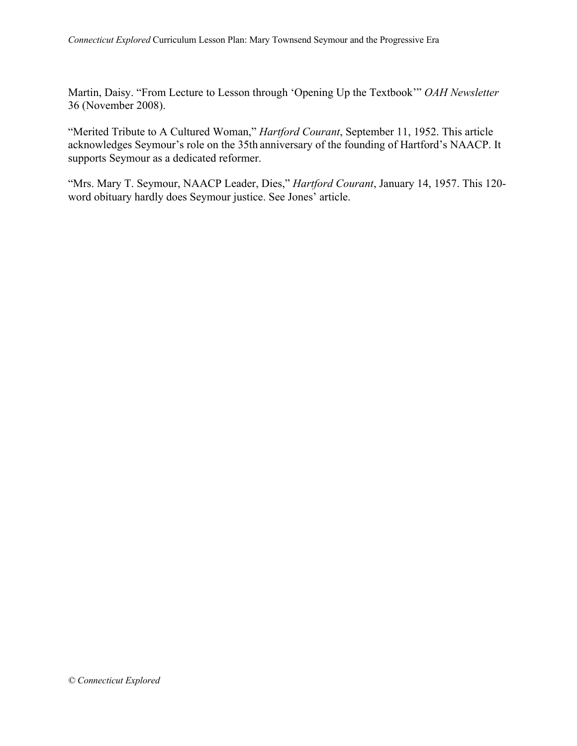Martin, Daisy. "From Lecture to Lesson through 'Opening Up the Textbook'" *OAH Newsletter*  36 (November 2008).

"Merited Tribute to A Cultured Woman," *Hartford Courant*, September 11, 1952. This article acknowledges Seymour's role on the 35th anniversary of the founding of Hartford's NAACP. It supports Seymour as a dedicated reformer.

"Mrs. Mary T. Seymour, NAACP Leader, Dies," *Hartford Courant*, January 14, 1957. This 120 word obituary hardly does Seymour justice. See Jones' article.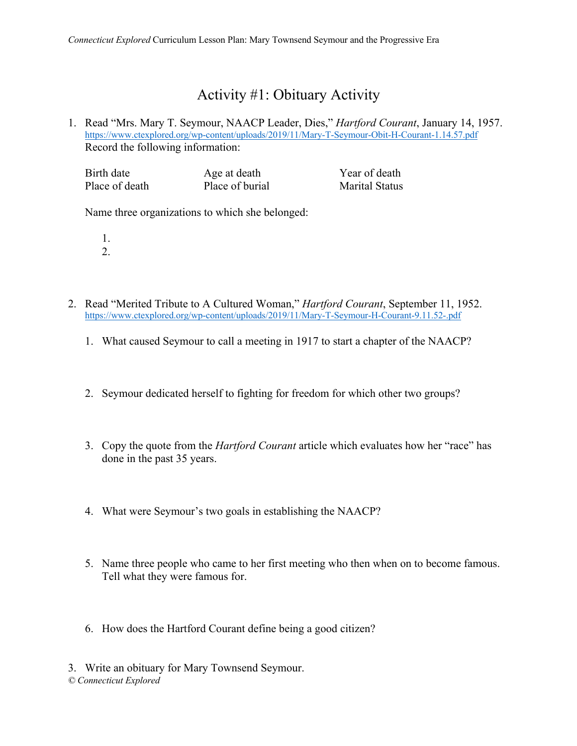# Activity #1: Obituary Activity

1. Read "Mrs. Mary T. Seymour, NAACP Leader, Dies," *Hartford Courant*, January 14, 1957. https://www.ctexplored.org/wp-content/uploads/2019/11/Mary-T-Seymour-Obit-H-Courant-1.14.57.pdf Record the following information:

| Birth date     | Age at death    | Year of death         |
|----------------|-----------------|-----------------------|
| Place of death | Place of burial | <b>Marital Status</b> |

Name three organizations to which she belonged:

- 1. 2.
- 2. Read "Merited Tribute to A Cultured Woman," *Hartford Courant*, September 11, 1952. https://www.ctexplored.org/wp-content/uploads/2019/11/Mary-T-Seymour-H-Courant-9.11.52-.pdf
	- 1. What caused Seymour to call a meeting in 1917 to start a chapter of the NAACP?
	- 2. Seymour dedicated herself to fighting for freedom for which other two groups?
	- 3. Copy the quote from the *Hartford Courant* article which evaluates how her "race" has done in the past 35 years.
	- 4. What were Seymour's two goals in establishing the NAACP?
	- 5. Name three people who came to her first meeting who then when on to become famous. Tell what they were famous for.
	- 6. How does the Hartford Courant define being a good citizen?
	- *© Connecticut Explored*  3. Write an obituary for Mary Townsend Seymour.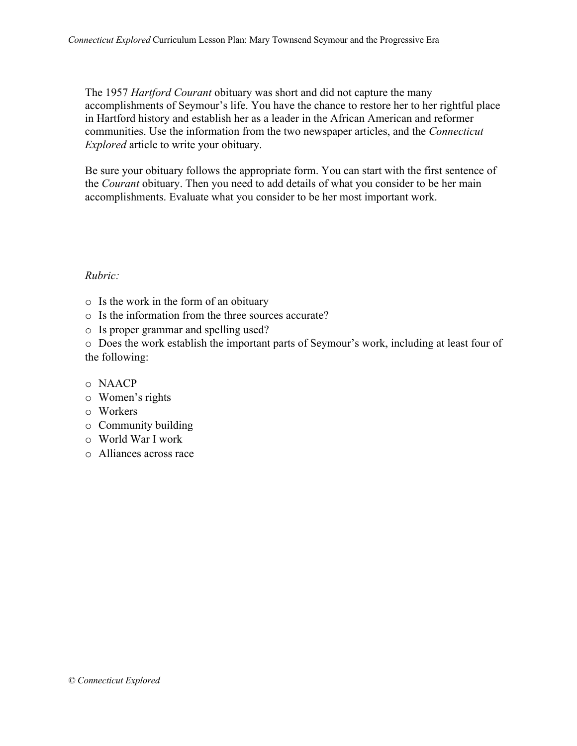The 1957 *Hartford Courant* obituary was short and did not capture the many accomplishments of Seymour's life. You have the chance to restore her to her rightful place in Hartford history and establish her as a leader in the African American and reformer communities. Use the information from the two newspaper articles, and the *Connecticut Explored* article to write your obituary.

Be sure your obituary follows the appropriate form. You can start with the first sentence of the *Courant* obituary. Then you need to add details of what you consider to be her main accomplishments. Evaluate what you consider to be her most important work.

### *Rubric:*

- o Is the work in the form of an obituary
- o Is the information from the three sources accurate?
- o Is proper grammar and spelling used?

o Does the work establish the important parts of Seymour's work, including at least four of the following:

- o NAACP
- o Women's rights
- o Workers
- o Community building
- o World War I work
- o Alliances across race